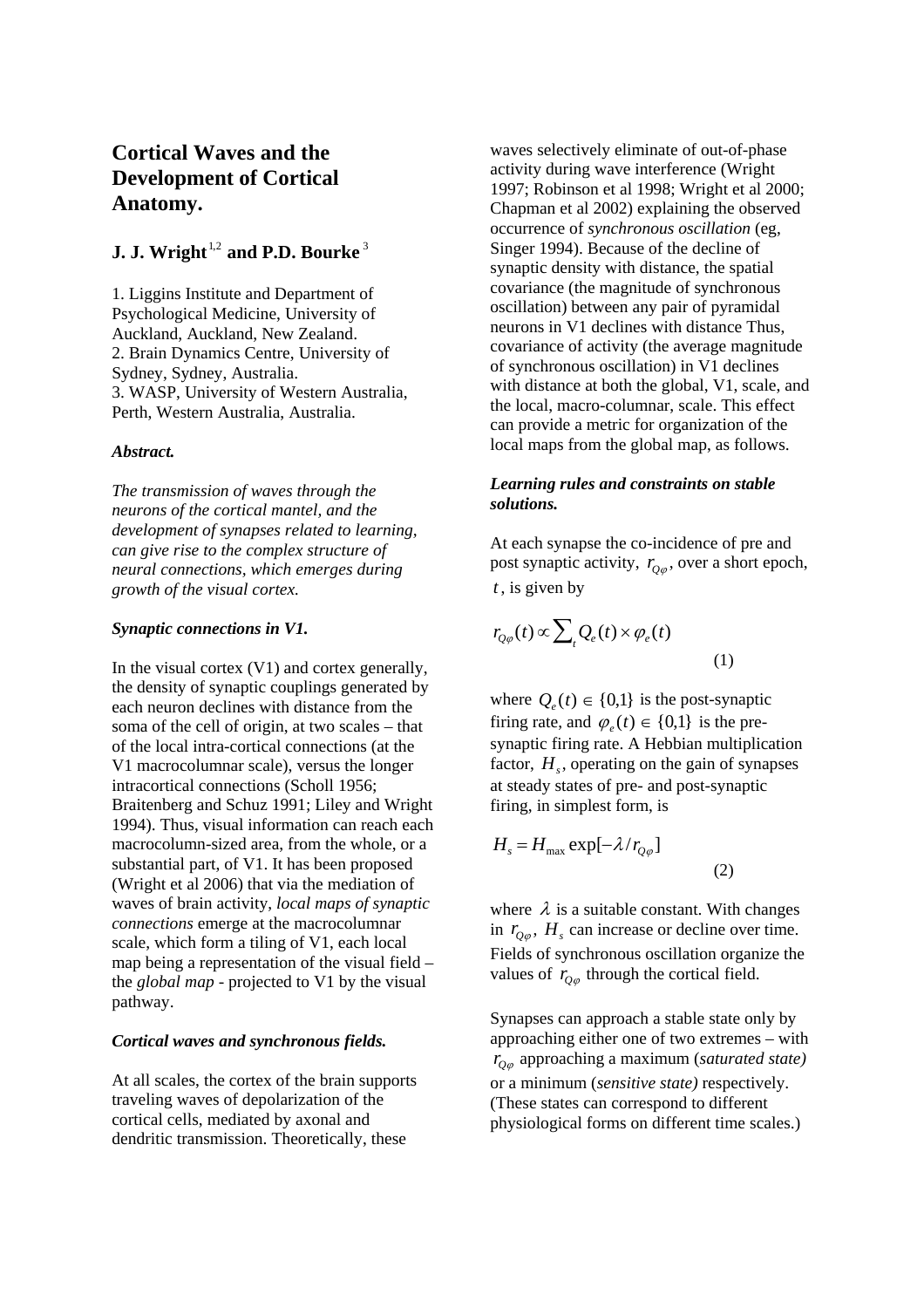# **Cortical Waves and the Development of Cortical Anatomy.**

## **J. J. Wright**<sup>1,2</sup> and P.D. Bourke<sup>3</sup>

1. Liggins Institute and Department of Psychological Medicine, University of Auckland, Auckland, New Zealand. 2. Brain Dynamics Centre, University of Sydney, Sydney, Australia. 3. WASP, University of Western Australia, Perth, Western Australia, Australia.

## *Abstract.*

*The transmission of waves through the neurons of the cortical mantel, and the development of synapses related to learning, can give rise to the complex structure of neural connections, which emerges during growth of the visual cortex.* 

## *Synaptic connections in V1.*

In the visual cortex (V1) and cortex generally, the density of synaptic couplings generated by each neuron declines with distance from the soma of the cell of origin, at two scales – that of the local intra-cortical connections (at the V1 macrocolumnar scale), versus the longer intracortical connections (Scholl 1956; Braitenberg and Schuz 1991; Liley and Wright 1994). Thus, visual information can reach each macrocolumn-sized area, from the whole, or a substantial part, of V1. It has been proposed (Wright et al 2006) that via the mediation of waves of brain activity, *local maps of synaptic connections* emerge at the macrocolumnar scale, which form a tiling of V1, each local map being a representation of the visual field – the *global map* - projected to V1 by the visual pathway.

## *Cortical waves and synchronous fields.*

At all scales, the cortex of the brain supports traveling waves of depolarization of the cortical cells, mediated by axonal and dendritic transmission. Theoretically, these

waves selectively eliminate of out-of-phase activity during wave interference (Wright 1997; Robinson et al 1998; Wright et al 2000; Chapman et al 2002) explaining the observed occurrence of *synchronous oscillation* (eg, Singer 1994). Because of the decline of synaptic density with distance, the spatial covariance (the magnitude of synchronous oscillation) between any pair of pyramidal neurons in V1 declines with distance Thus, covariance of activity (the average magnitude of synchronous oscillation) in V1 declines with distance at both the global, V1, scale, and the local, macro-columnar, scale. This effect can provide a metric for organization of the local maps from the global map, as follows.

## *Learning rules and constraints on stable solutions.*

At each synapse the co-incidence of pre and post synaptic activity,  $r_{Q\varphi}$ , over a short epoch, *t* , is given by

$$
r_{Q\varphi}(t) \propto \sum_{t} Q_e(t) \times \varphi_e(t)
$$
\n(1)

where  $Q_e(t) \in \{0,1\}$  is the post-synaptic firing rate, and  $\varphi_{e}(t) \in \{0,1\}$  is the presynaptic firing rate. A Hebbian multiplication factor,  $H_s$ , operating on the gain of synapses at steady states of pre- and post-synaptic firing, in simplest form, is

$$
H_s = H_{\text{max}} \exp[-\lambda/r_{Q\varphi}]
$$
\n(2)

where  $\lambda$  is a suitable constant. With changes in  $r_{O\varphi}$ ,  $H_s$  can increase or decline over time. Fields of synchronous oscillation organize the values of  $r_{O\varphi}$  through the cortical field.

Synapses can approach a stable state only by approaching either one of two extremes – with *rQ*<sup>ϕ</sup> approaching a maximum (*saturated state)* or a minimum (*sensitive state)* respectively. (These states can correspond to different physiological forms on different time scales.)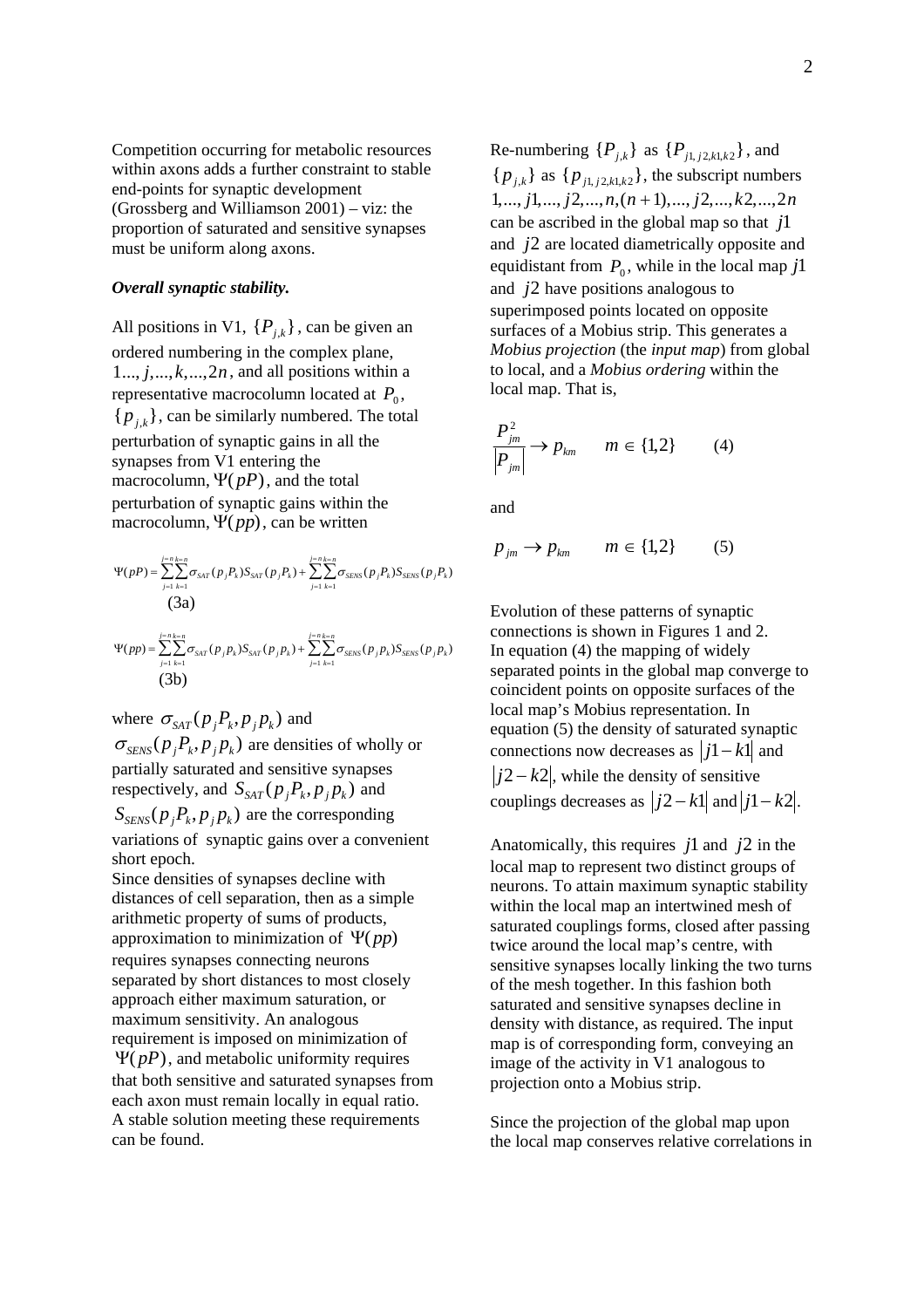Competition occurring for metabolic resources within axons adds a further constraint to stable end-points for synaptic development (Grossberg and Williamson 2001) – viz: the proportion of saturated and sensitive synapses must be uniform along axons.

### *Overall synaptic stability.*

All positions in V1,  $\{P_{j,k}\}\$ , can be given an ordered numbering in the complex plane,  $1..., j,..., k,..., 2n$ , and all positions within a representative macrocolumn located at  $P_0$ ,  ${p_i}_k$ , can be similarly numbered. The total perturbation of synaptic gains in all the synapses from V1 entering the macrocolumn, Ψ( *pP*), and the total perturbation of synaptic gains within the macrocolumn, Ψ(*pp*), can be written

$$
\Psi(pP) = \sum_{j=1}^{j=n} \sum_{k=1}^{k=n} \sigma_{SAT}(p_j P_k) S_{SAT}(p_j P_k) + \sum_{j=1}^{j=n} \sum_{k=1}^{k=n} \sigma_{SENS}(p_j P_k) S_{SENS}(p_j P_k)
$$
  
(3a)

$$
\Psi(pp) = \sum_{j=1}^{j=n} \sum_{k=1}^{k=n} \sigma_{SAT}(p_j p_k) S_{SAT}(p_j p_k) + \sum_{j=1}^{j=n} \sum_{k=1}^{k=n} \sigma_{SENS}(p_j p_k) S_{SENS}(p_j p_k)
$$
  
(3b)

where  $\sigma_{\text{SAT}}(p_j P_k, p_j p_k)$  and

 $\sigma_{\text{SENS}}(p_j P_k, p_j p_k)$  are densities of wholly or partially saturated and sensitive synapses respectively, and  $S_{SAT}(p_j P_k, p_j p_k)$  and

 $S_{SENS}(p_j P_k, p_j p_k)$  are the corresponding variations of synaptic gains over a convenient short epoch.

Since densities of synapses decline with distances of cell separation, then as a simple arithmetic property of sums of products, approximation to minimization of Ψ(*pp*) requires synapses connecting neurons separated by short distances to most closely approach either maximum saturation, or maximum sensitivity. An analogous requirement is imposed on minimization of Ψ( *pP*), and metabolic uniformity requires that both sensitive and saturated synapses from each axon must remain locally in equal ratio. A stable solution meeting these requirements can be found.

Re-numbering  $\{P_{i,k}\}\$ as  $\{P_{i1, i2, k1, k2}\}\$ , and  ${p_{i,k}}$  as  ${p_{i,i,i2,k1,k2}}$ , the subscript numbers 1,..., *j*1,..., *j*2,...,*n*,(*n* +1),..., *j*2,...,*k*2,...,2*n* can be ascribed in the global map so that *j*1 and  $j2$  are located diametrically opposite and equidistant from  $P_0$ , while in the local map  $j1$ and  $j2$  have positions analogous to superimposed points located on opposite surfaces of a Mobius strip. This generates a *Mobius projection* (the *input map*) from global to local, and a *Mobius ordering* within the local map. That is,

$$
\frac{P_{jm}^2}{|P_{jm}|} \rightarrow P_{km} \qquad m \in \{1,2\} \tag{4}
$$

and

$$
p_{jm} \rightarrow p_{km} \qquad m \in \{1, 2\} \tag{5}
$$

Evolution of these patterns of synaptic connections is shown in Figures 1 and 2. In equation (4) the mapping of widely separated points in the global map converge to coincident points on opposite surfaces of the local map's Mobius representation. In equation (5) the density of saturated synaptic connections now decreases as *j*1− *k*1 and  $j2 - k2$ , while the density of sensitive couplings decreases as  $|j2 - k1|$  and  $|j1 - k2|$ .

Anatomically, this requires  $j1$  and  $j2$  in the local map to represent two distinct groups of neurons. To attain maximum synaptic stability within the local map an intertwined mesh of saturated couplings forms, closed after passing twice around the local map's centre, with sensitive synapses locally linking the two turns of the mesh together. In this fashion both saturated and sensitive synapses decline in density with distance, as required. The input map is of corresponding form, conveying an image of the activity in V1 analogous to projection onto a Mobius strip.

Since the projection of the global map upon the local map conserves relative correlations in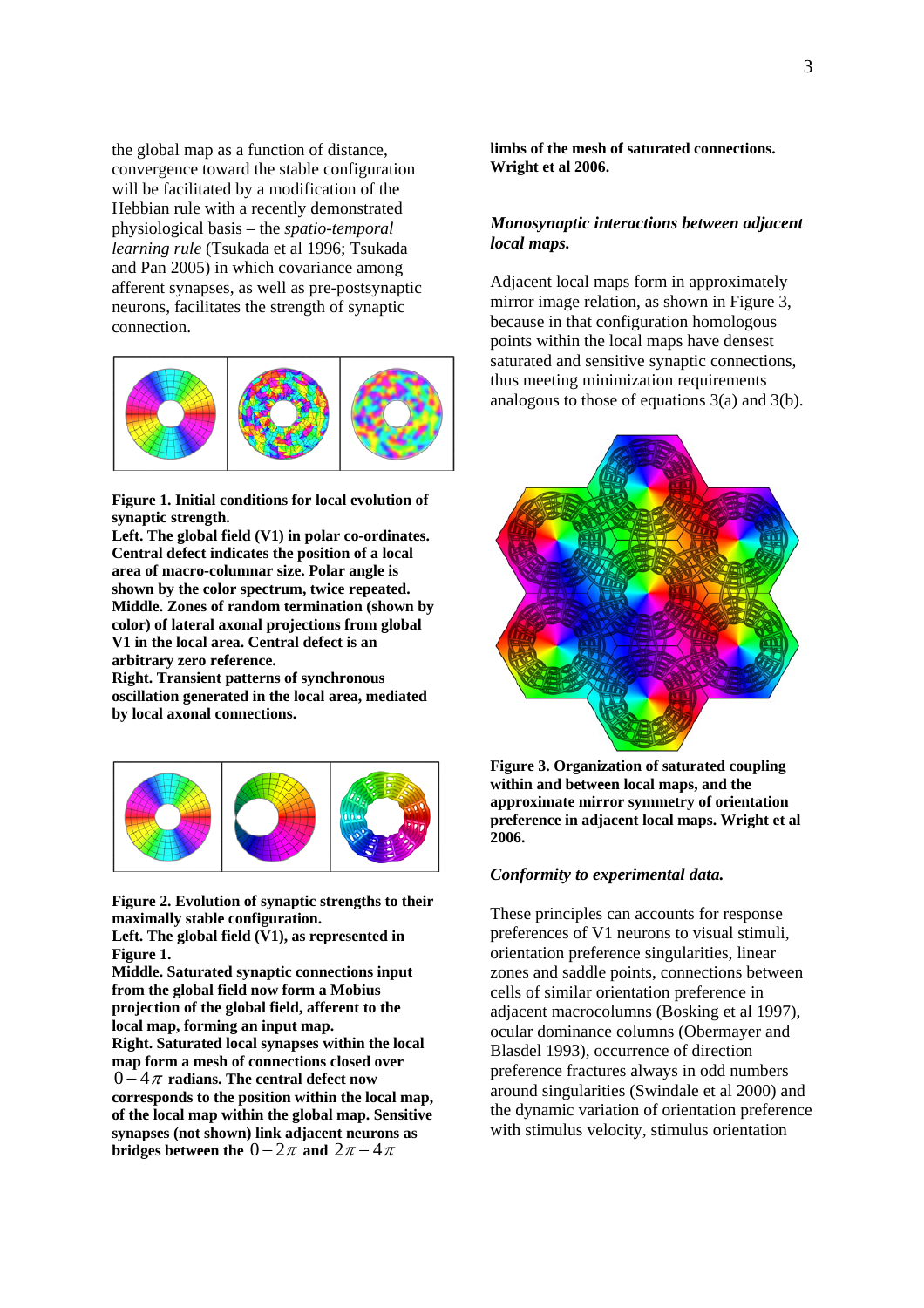the global map as a function of distance, convergence toward the stable configuration will be facilitated by a modification of the Hebbian rule with a recently demonstrated physiological basis – the *spatio-temporal learning rule* (Tsukada et al 1996; Tsukada and Pan 2005) in which covariance among afferent synapses, as well as pre-postsynaptic neurons, facilitates the strength of synaptic connection.



**Figure 1. Initial conditions for local evolution of synaptic strength.** 

**Left. The global field (V1) in polar co-ordinates. Central defect indicates the position of a local area of macro-columnar size. Polar angle is shown by the color spectrum, twice repeated. Middle. Zones of random termination (shown by color) of lateral axonal projections from global V1 in the local area. Central defect is an arbitrary zero reference.** 

**Right. Transient patterns of synchronous oscillation generated in the local area, mediated by local axonal connections.** 



**Figure 2. Evolution of synaptic strengths to their maximally stable configuration.** 

**Left. The global field (V1), as represented in Figure 1.** 

**Middle. Saturated synaptic connections input from the global field now form a Mobius projection of the global field, afferent to the local map, forming an input map. Right. Saturated local synapses within the local map form a mesh of connections closed over**   $0 - 4\pi$  radians. The central defect now **corresponds to the position within the local map, of the local map within the global map. Sensitive synapses (not shown) link adjacent neurons as bridges between the**  $0 - 2\pi$  **and**  $2\pi - 4\pi$ 

**limbs of the mesh of saturated connections. Wright et al 2006.** 

## *Monosynaptic interactions between adjacent local maps.*

Adjacent local maps form in approximately mirror image relation, as shown in Figure 3, because in that configuration homologous points within the local maps have densest saturated and sensitive synaptic connections, thus meeting minimization requirements analogous to those of equations  $3(a)$  and  $3(b)$ .



**Figure 3. Organization of saturated coupling within and between local maps, and the approximate mirror symmetry of orientation preference in adjacent local maps. Wright et al 2006.** 

## *Conformity to experimental data.*

These principles can accounts for response preferences of V1 neurons to visual stimuli, orientation preference singularities, linear zones and saddle points, connections between cells of similar orientation preference in adjacent macrocolumns (Bosking et al 1997), ocular dominance columns (Obermayer and Blasdel 1993), occurrence of direction preference fractures always in odd numbers around singularities (Swindale et al 2000) and the dynamic variation of orientation preference with stimulus velocity, stimulus orientation